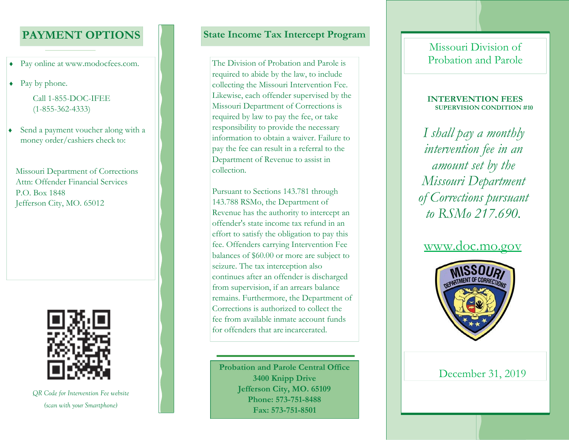## **PAYMENT OPTIONS**

- Pay online at www.modocfees.com.
- Pay by phone.

Call 1-855-DOC-IFEE (1-855-362-4333)

• Send a payment voucher along with a money order/cashiers check to:

Missouri Department of Corrections Attn: Offender Financial ServicesP.O. Box 1848Jefferson City, MO. 65012



*QR Code for Intervention Fee website (scan with your Smartphone)*

## **State Income Tax Intercept Program**

The Division of Probation and Parole is required to abide by the law, to include collecting the Missouri Intervention Fee. Likewise, each offender supervised by the Missouri Department of Corrections is required by law to pay the fee, or take responsibility to provide the necessary information to obtain a waiver. Failure to pay the fee can result in a referral to the Department of Revenue to assist in collection.

Pursuant to Sections 143.781 through 143.788 RSMo, the Department of Revenue has the authority to intercept an offender's state income tax refund in an effort to satisfy the obligation to pay this fee. Offenders carrying Intervention Fee balances of \$60.00 or more are subject to seizure. The tax interception also continues after an offender is discharged from supervision, if an arrears balance remains. Furthermore, the Department of Corrections is authorized to collect the fee from available inmate account funds for offenders that are incarcerated.

Probation and Parole Central Office<br>
3400 Knipp Drive **Brooking**3400 Knipp Drive **Brooking Brooking Brooking Brooking Brooking Brooking Brooking Brooking Brooking Brooking Brooking Brooking Brookin Jefferson City, MO. 65109 Phone: 573-751-8488Fax: 573-751-8501**

## Missouri Division of Probation and Parole

#### **INTERVENTION FEESSUPERVISION CONDITION #10**

*I shall pay a monthly intervention fee in an amount set by the Missouri Department of Corrections pursuant to RSMo 217.690.*

## www.doc.mo.gov